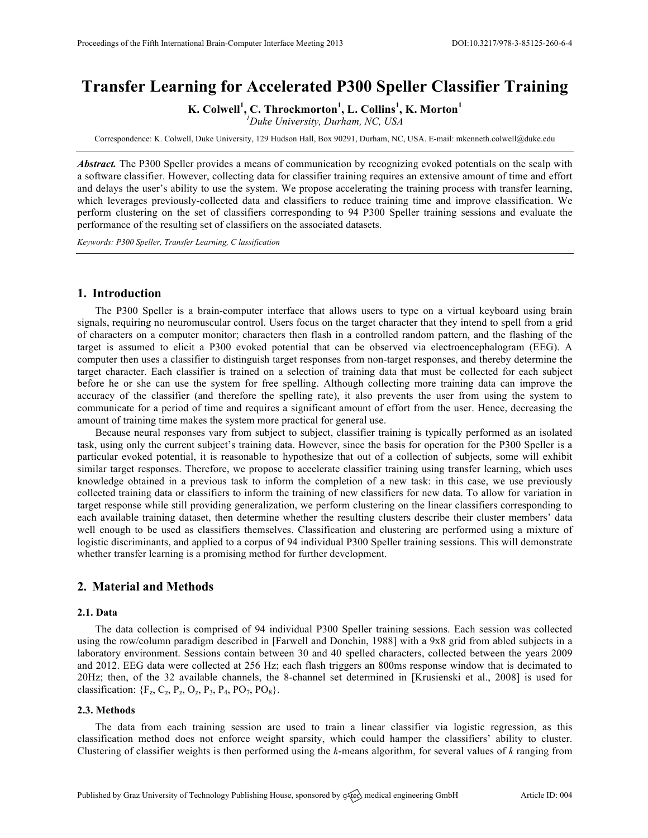# **Transfer Learning for Accelerated P300 Speller Classifier Training**

**K. Colwell<sup>1</sup> , C. Throckmorton<sup>1</sup> , L. Collins<sup>1</sup> , K. Morton<sup>1</sup>**

*1 Duke University, Durham, NC, USA*

Correspondence: K. Colwell, Duke University, 129 Hudson Hall, Box 90291, Durham, NC, USA. E-mail: mkenneth.colwell@duke.edu

*Abstract.* The P300 Speller provides a means of communication by recognizing evoked potentials on the scalp with a software classifier. However, collecting data for classifier training requires an extensive amount of time and effort and delays the user's ability to use the system. We propose accelerating the training process with transfer learning, which leverages previously-collected data and classifiers to reduce training time and improve classification. We perform clustering on the set of classifiers corresponding to 94 P300 Speller training sessions and evaluate the performance of the resulting set of classifiers on the associated datasets.

*Keywords: P300 Speller, Transfer Learning, C lassification*

## **1. Introduction**

The P300 Speller is a brain-computer interface that allows users to type on a virtual keyboard using brain signals, requiring no neuromuscular control. Users focus on the target character that they intend to spell from a grid of characters on a computer monitor; characters then flash in a controlled random pattern, and the flashing of the target is assumed to elicit a P300 evoked potential that can be observed via electroencephalogram (EEG). A computer then uses a classifier to distinguish target responses from non-target responses, and thereby determine the target character. Each classifier is trained on a selection of training data that must be collected for each subject before he or she can use the system for free spelling. Although collecting more training data can improve the accuracy of the classifier (and therefore the spelling rate), it also prevents the user from using the system to communicate for a period of time and requires a significant amount of effort from the user. Hence, decreasing the amount of training time makes the system more practical for general use.

Because neural responses vary from subject to subject, classifier training is typically performed as an isolated task, using only the current subject's training data. However, since the basis for operation for the P300 Speller is a particular evoked potential, it is reasonable to hypothesize that out of a collection of subjects, some will exhibit similar target responses. Therefore, we propose to accelerate classifier training using transfer learning, which uses knowledge obtained in a previous task to inform the completion of a new task: in this case, we use previously collected training data or classifiers to inform the training of new classifiers for new data. To allow for variation in target response while still providing generalization, we perform clustering on the linear classifiers corresponding to each available training dataset, then determine whether the resulting clusters describe their cluster members' data well enough to be used as classifiers themselves. Classification and clustering are performed using a mixture of logistic discriminants, and applied to a corpus of 94 individual P300 Speller training sessions. This will demonstrate whether transfer learning is a promising method for further development.

## **2. Material and Methods**

## **2.1. Data**

The data collection is comprised of 94 individual P300 Speller training sessions. Each session was collected using the row/column paradigm described in [Farwell and Donchin, 1988] with a 9x8 grid from abled subjects in a laboratory environment. Sessions contain between 30 and 40 spelled characters, collected between the years 2009 and 2012. EEG data were collected at 256 Hz; each flash triggers an 800ms response window that is decimated to 20Hz; then, of the 32 available channels, the 8-channel set determined in [Krusienski et al., 2008] is used for classification:  ${F_z, C_z, P_z, O_z, P_3, P_4, PO_7, PO_8}.$ 

#### **2.3. Methods**

The data from each training session are used to train a linear classifier via logistic regression, as this classification method does not enforce weight sparsity, which could hamper the classifiers' ability to cluster. Clustering of classifier weights is then performed using the *k*-means algorithm, for several values of *k* ranging from